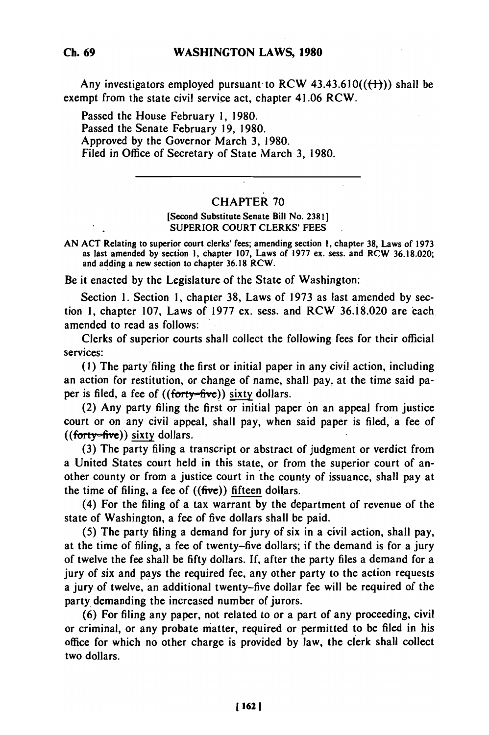Any investigators employed pursuant to RCW 43.43.610 $((+)$ ) shall be exempt from the state civil service act, chapter 41.06 RCW.

Passed the House February **1,** 1980. Passed the Senate February 19, 1980. Approved **by** the Governor March 3, 1980. Filed in Office of Secretary of State March **3,** 1980.

## CHAPTER 70

[Second Substitute Senate Bill No. **2381]** SUPERIOR **COURT** CLERKS' FEES

**AN ACT** Relating to superior court clerks' fees; amending section **1,** chapter **38,** Laws of **1973** as last amended **by** section **1,** chapter **107,** Laws of **1977** ex. sess. and RCW **36.18.020;** and adding a new section to chapter **36.18** RCW.

Be it enacted **by** the Legislature of the State of Washington:

Section **1.** Section **1,** chapter **38,** Laws of **1973** as last amended **by** section **1,** chapter 107, Laws of **1977** ex. sess. and RCW 36.18.020 are each amended to read as follows:

Clerks of superior courts shall collect the following fees for their official services:

(1) The party'filing the first or initial paper in any civil action, including an action for restitution, or change of name, shall pay, at the time said paper is filed, a fee of ((forty-five)) sixty dollars.

(2) Any party filing the first or initial paper on an appeal from justice court or on any civil appeal, shall pay, when said paper is filed, a fee of  $((forty=five))$  sixty dollars.

(3) The party filing a transcript or abstract of judgment or verdict from a United States court held in this state, or from the superior court of another county or from a justice court in the county of issuance, shall pay at the time of filing, a fee of  $((\text{five}))$  fifteen dollars.

(4) For the filing of a tax warrant by the department of revenue of the state of Washington, a fee of five dollars shall be paid.

(5) The party filing a demand for jury of six in a civil action, shall pay, at the time of filing, a fee of twenty-five dollars; if the demand is for a jury of twelve the fee shall be fifty dollars. If, after the party files a demand for a jury of six and pays the required fee, any other party to the action requests a jury of twelve, an additional twenty-five dollar fee will be required of the party demanding the increased number of jurors.

(6) For filing any paper, not related to or a part of any proceeding, civil or criminal, or any probate matter, required or permitted to be filed in his office for which no other charge is provided by law, the clerk shall collect two dollars.

**Ch. 69**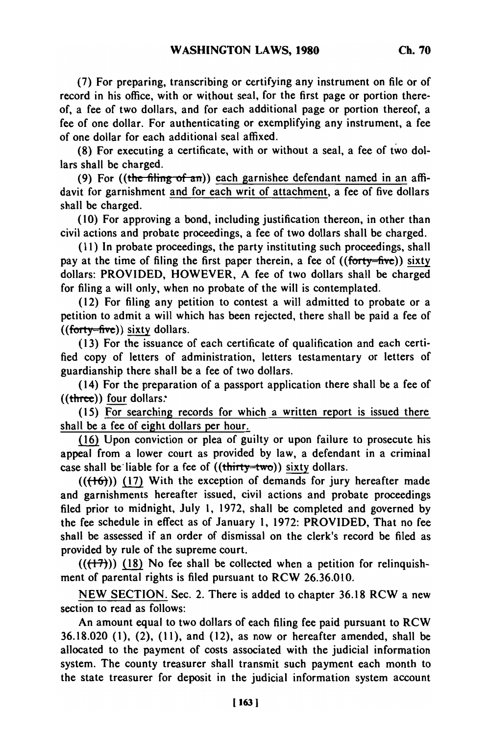(7) **For** preparing, transcribing or certifying any instrument on file or of record in his office, with or without seal, for the first page or portion thereof, a fee of two dollars, and for each additional page or portion thereof, a fee of one dollar. For authenticating or exemplifying any instrument, a fee of one dollar for each additional seal affixed.

(8) For executing a certificate, with or without a seal, a fee of two dollars shall be charged.

(9) For  $((\text{the filing of an}))$  each garnishee defendant named in an affidavit for garnishment and for each writ of attachment, a fee of five dollars shall be charged.

(10) For approving a bond, including justification thereon, in other than civil actions and probate proceedings, a fee of two dollars shall be charged.

(11) In probate proceedings, the party instituting such proceedings, shall pay at the time of filing the first paper therein, a fee of  $(($ forty-five)) sixty dollars: PROVIDED, HOWEVER, A fee of two dollars shall be charged for filing a will only, when no probate of the will is contemplated.

(12) For filing any petition to contest a will admitted to probate or a petition to admit a will which has been rejected, there shall be paid a fee of ((forty-five)) sixty dollars.

**(13)** For the issuance of each certificate of qualification and each certified copy of letters of administration, letters testamentary or letters of guardianship there shall be a fee of two dollars.

(14) For the preparation of a passport application there shall be a fee of  $((three))$  four dollars.

**(15)** For searching records for which a written report is issued there shall be a fee of eight dollars per hour.

**(16)** Upon conviction or plea of guilty or upon failure to prosecute his appeal from a lower court as provided **by** law, a defendant in a criminal case shall be'liable for a fee of ((thirty-two)) **sixty** dollars.

 $((\{+6\}))$  (17) With the exception of demands for jury hereafter made and garnishments hereafter issued, civil actions and probate proceedings filed prior to midnight, July **1, 1972,** shall be completed and governed **by** the fee schedule in effect as of January **1, 1972:** PROVIDED, That no fee shall be assessed if an order of dismissal on the clerk's record be filed as provided **by** rule of the supreme court.

 $((\langle +2\rangle)$ ) (18) No fee shall be collected when a petition for relinquishment of parental rights is filed pursuant to RCW **26.36.010.**

**NEW** SECTION. Sec. 2. There is added to chapter **36.18** RCW a new section to read as follows:

An amount equal to two dollars of each filing fee paid pursuant to RCW **36.18.020 (1),** (2), **(11),** and **(12),** as now or hereafter amended, shall be allocated to the payment of costs associated with the judicial information system. The county treasurer shall transmit such payment each month to the state treasurer for deposit in the judicial information system account